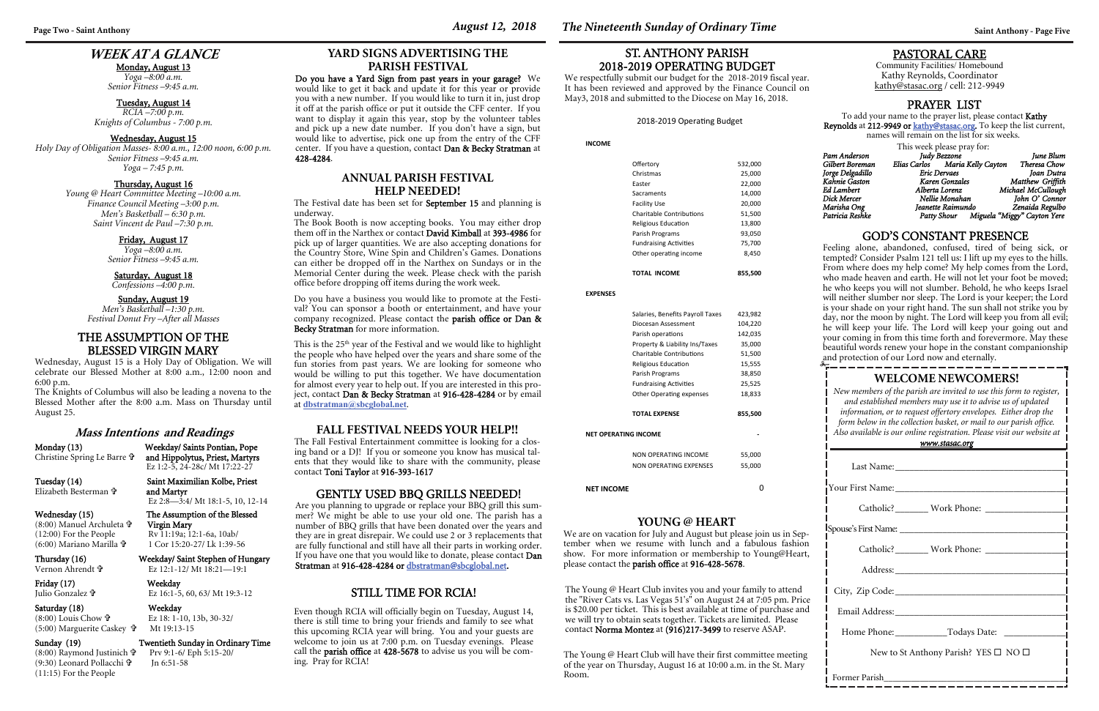# **WEEK AT A GLANCE**

#### Monday, August 13

*Yoga –8:00 a.m. Senior Fitness –9:45 a.m.* 

#### Tuesday, August 14

*RCIA –7:00 p.m. Knights of Columbus - 7:00 p.m.* 

#### Wednesday, August 15

*Holy Day of Obligation Masses- 8:00 a.m., 12:00 noon, 6:00 p.m. Senior Fitness –9:45 a.m. Yoga – 7:45 p.m.* 

#### Thursday, August 16

*Young @ Heart Committee Meeting –10:00 a.m. Finance Council Meeting –3:00 p.m. Men's Basketball – 6:30 p.m. Saint Vincent de Paul –7:30 p.m.* 

> Friday, August 17 *Yoga –8:00 a.m. Senior Fitness –9:45 a.m.*

#### Saturday, August 18

*Confessions –4:00 p.m.* 

#### Sunday, August 19 *Men's Basketball –1:30 p.m. Festival Donut Fry –After all Masses*

## **WELCOME NEWCOMERS!**

*New members of the parish are invited to use this form to register, and established members may use it to advise us of updated information, or to request offertory envelopes. Either drop the form below in the collection basket, or mail to our parish office. Also available is our online registration. Please visit our website at www.stasac.org* 

| <u>WWW.SHISHL.UIX</u>                                |  |  |  |  |
|------------------------------------------------------|--|--|--|--|
|                                                      |  |  |  |  |
|                                                      |  |  |  |  |
| Catholic? _________ Work Phone: ______________       |  |  |  |  |
|                                                      |  |  |  |  |
|                                                      |  |  |  |  |
|                                                      |  |  |  |  |
|                                                      |  |  |  |  |
| Email Address: No. 1997                              |  |  |  |  |
| Home Phone: _______________Todays Date: ____________ |  |  |  |  |
| New to St Anthony Parish? YES $\square$ NO $\square$ |  |  |  |  |
| Former Parish                                        |  |  |  |  |

(8:00) Manuel Archuleta  $\mathbf{\hat{r}}$ <br>(12:00) For the People (6:00) Mariano Marilla

#### Friday (17) Weekday Julio Gonzalez

#### Saturday (18) Weekday (8:00) Louis Chow (5:00) Marguerite Caskey

## PASTORAL CARE

Community Facilities/ Homebound Kathy Reynolds, Coordinator kathy@stasac.org / cell: 212-9949

## GOD'S CONSTANT PRESENCE

Feeling alone, abandoned, confused, tired of being sick, or tempted? Consider Psalm 121 tell us: I lift up my eyes to the hills. From where does my help come? My help comes from the Lord, who made heaven and earth. He will not let your foot be moved; he who keeps you will not slumber. Behold, he who keeps Israel will neither slumber nor sleep. The Lord is your keeper; the Lord is your shade on your right hand. The sun shall not strike you by day, nor the moon by night. The Lord will keep you from all evil; he will keep your life. The Lord will keep your going out and your coming in from this time forth and forevermore. May these beautiful words renew your hope in the constant companionship and protection of our Lord now and eternally.

#### **Mass Intentions and Readings**

Christine Spring Le Barre

Monday (13) Weekday/ Saints Pontian, Pope and Hippolytus, Priest, Martyrs Ez 1:2-5, 24-28c/ Mt 17:22-27

## Tuesday (14) Saint Maximilian Kolbe, Priest

Elizabeth Besterman

 and Martyr Ez 2:8—3:4/ Mt 18:1-5, 10, 12-14

#### Wednesday (15) The Assumption of the Blessed Virgin Mary Rv 11:19a; 12:1-6a, 10ab/ 1 Cor 15:20-27/ Lk 1:39-56

Thursday (16) Weekday/ Saint Stephen of Hungary

Vernon Ahrendt

Ez 12:1-12/ Mt 18:21—19:1

Ez 16:1-5, 60, 63/ Mt 19:3-12

 Ez 18: 1-10, 13b, 30-32/ Mt 19:13-15

#### Sunday (19) Twentieth Sunday in Ordinary Time

(8:00) Raymond Justinich Prv 9:1-6/ Eph 5:15-20/ (9:30) Leonard Pollacchi (11:15) For the People

This is the 25<sup>th</sup> year of the Festival and we would like to highlight the people who have helped over the years and share some of the fun stories from past years. We are looking for someone who would be willing to put this together. We have documentation for almost every year to help out. If you are interested in this project, contact Dan & Becky Stratman at 916-428-4284 or by email at **dbstratman@sbcglobal.net**.

Jn 6:51-58

## PRAYER LIST

To add your name to the prayer list, please contact Kathy **Reynolds** at **212-9949 or <u>kathy@stasac.or</u>g.** To keep the list current, names will remain on the list for six weeks.

This week please pray for:

*Pam Anderson*  $Gilbert Boreman$ *Jorge Delgadillo Kahnie Gaston Karen Gonzales*  $Ed$  *Lambert*  $Dick$  *Mercer* 

| Pam Anderson     | Judy Bezzone                    | June Blum                   |
|------------------|---------------------------------|-----------------------------|
| Gilbert Boreman  | Elias Carlos Maria Kelly Cayton | Theresa Chow                |
| Jorge Delgadillo | Eric Dervaes                    | Ioan Dutra                  |
| Kahnie Gaston    | Karen Gonzales                  | Matthew Griffith            |
| Ed Lambert       | Alberta Lorenz                  | Michael McCullough          |
| Dick Mercer      | Nellie Monahan                  | John O' Connor              |
| Marisha Ong      | Jeanette Raimundo               | Zenaida Regulbo             |
| Patricia Reshke  | Patty Shour                     | Miguela "Miggy" Cayton Yere |
|                  |                                 |                             |

### **YOUNG @ HEART**

We are on vacation for July and August but please join us in September when we resume with lunch and a fabulous fashion show. For more information or membership to Young@Heart, please contact the parish office at 916-428-5678.

# **YARD SIGNS ADVERTISING THE**

# **PARISH FESTIVAL**

Do you have a Yard Sign from past years in your garage? We would like to get it back and update it for this year or provide you with a new number. If you would like to turn it in, just drop it off at the parish office or put it outside the CFF center. If you want to display it again this year, stop by the volunteer tables and pick up a new date number. If you don't have a sign, but would like to advertise, pick one up from the entry of the CFF center. If you have a question, contact Dan & Becky Stratman at 428-4284.

#### GENTLY USED BBQ GRILLS NEEDED!

Are you planning to upgrade or replace your BBQ grill this summer? We might be able to use your old one. The parish has a number of BBQ grills that have been donated over the years and they are in great disrepair. We could use 2 or 3 replacements that are fully functional and still have all their parts in working order. If you have one that you would like to donate, please contact Dan Stratman at 916-428-4284 or dbstratman@sbcglobal.net.

> The Young @ Heart Club invites you and your family to attend the "River Cats vs. Las Vegas 51's" on August 24 at 7:05 pm. Price is \$20.00 per ticket. This is best available at time of purchase and we will try to obtain seats together. Tickets are limited. Please contact Norma Montez at (916)217-3499 to reserve ASAP.

### **ANNUAL PARISH FESTIVAL HELP NEEDED!**

The Festival date has been set for September 15 and planning is underway.

The Book Booth is now accepting books. You may either drop them off in the Narthex or contact **David Kimball** at **393-4986** for pick up of larger quantities. We are also accepting donations for the Country Store, Wine Spin and Children's Games. Donations can either be dropped off in the Narthex on Sundays or in the Memorial Center during the week. Please check with the parish office before dropping off items during the work week.

Do you have a business you would like to promote at the Festival? You can sponsor a booth or entertainment, and have your company recognized. Please contact the parish office or Dan & Becky Stratman for more information.

**INCOME** 

| Other operating income<br><b>TOTAL INCOME</b> | 8,450<br>855,500 |
|-----------------------------------------------|------------------|
| <b>Fundraising Activities</b>                 | 75,700           |
| Parish Programs                               | 93,050           |
| Religious Education                           | 13,800           |
| Charitable Contributions                      | 51,500           |
| Facility Use                                  | 20,000           |
| Sacraments                                    | 14,000           |
| Faster                                        | 22,000           |
| Christmas                                     | 25,000           |
| Offertory                                     | 532,000          |
|                                               |                  |

**EXPENSES** 

|                             | Salaries, Benefits Payroll Taxes | 423,982 |  |  |
|-----------------------------|----------------------------------|---------|--|--|
|                             | Diocesan Assessment              | 104,220 |  |  |
|                             | Parish operations                | 142,035 |  |  |
|                             | Property & Liability Ins/Taxes   | 35,000  |  |  |
|                             | <b>Charitable Contributions</b>  | 51,500  |  |  |
|                             | Religious Education              | 15,555  |  |  |
|                             | Parish Programs                  | 38,850  |  |  |
|                             | <b>Fundraising Activities</b>    | 25,525  |  |  |
|                             | Other Operating expenses         | 18,833  |  |  |
|                             |                                  |         |  |  |
|                             | <b>TOTAL EXPENSE</b>             | 855,500 |  |  |
| <b>NET OPERATING INCOME</b> |                                  |         |  |  |
|                             | NON OPERATING INCOME             | 55,000  |  |  |
|                             | NON OPFRATING EXPENSES           | 55,000  |  |  |
| <b>NET INCOME</b>           |                                  |         |  |  |

## ST. ANTHONY PARISH 2018-2019 OPERATING BUDGET

We respectfully submit our budget for the 2018-2019 fiscal year. It has been reviewed and approved by the Finance Council on May3, 2018 and submitted to the Diocese on May 16, 2018.

#### 2018-2019 Operating Budget

The Young @ Heart Club will have their first committee meeting of the year on Thursday, August 16 at 10:00 a.m. in the St. Mary Room.

### **FALL FESTIVAL NEEDS YOUR HELP!!**

The Fall Festival Entertainment committee is looking for a closing band or a DJ! If you or someone you know has musical talents that they would like to share with the community, please contact Toni Taylor at 916-393-1617

## THE ASSUMPTION OF THE BLESSED VIRGIN MARY

Wednesday, August 15 is a Holy Day of Obligation. We will celebrate our Blessed Mother at 8:00 a.m., 12:00 noon and 6:00 p.m.

The Knights of Columbus will also be leading a novena to the Blessed Mother after the 8:00 a.m. Mass on Thursday until August 25.

#### STILL TIME FOR RCIA!

Even though RCIA will officially begin on Tuesday, August 14, there is still time to bring your friends and family to see what this upcoming RCIA year will bring. You and your guests are welcome to join us at 7:00 p.m. on Tuesday evenings. Please call the parish office at 428-5678 to advise us you will be coming. Pray for RCIA!